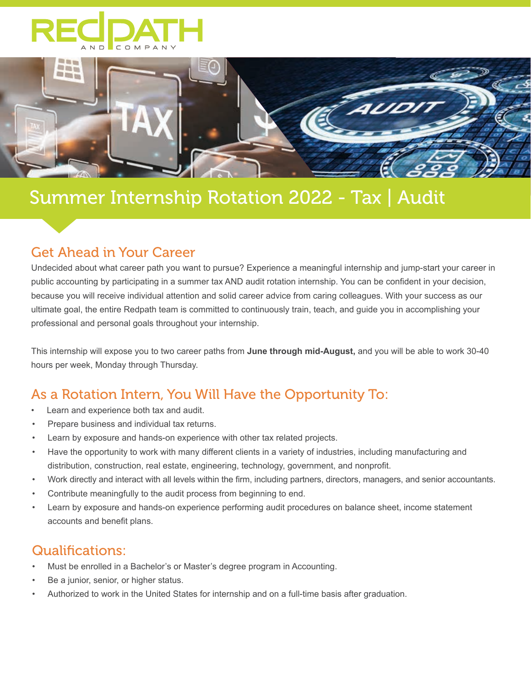



# Summer Internship Rotation 2022 - Tax | Audit

## Get Ahead in Your Career

Undecided about what career path you want to pursue? Experience a meaningful internship and jump-start your career in public accounting by participating in a summer tax AND audit rotation internship. You can be confident in your decision, because you will receive individual attention and solid career advice from caring colleagues. With your success as our ultimate goal, the entire Redpath team is committed to continuously train, teach, and guide you in accomplishing your professional and personal goals throughout your internship.

This internship will expose you to two career paths from **June through mid-August,** and you will be able to work 30-40 hours per week, Monday through Thursday.

# As a Rotation Intern, You Will Have the Opportunity To:

- Learn and experience both tax and audit.
- Prepare business and individual tax returns.
- Learn by exposure and hands-on experience with other tax related projects.
- Have the opportunity to work with many different clients in a variety of industries, including manufacturing and distribution, construction, real estate, engineering, technology, government, and nonprofit.
- Work directly and interact with all levels within the firm, including partners, directors, managers, and senior accountants.
- Contribute meaningfully to the audit process from beginning to end.
- Learn by exposure and hands-on experience performing audit procedures on balance sheet, income statement accounts and benefit plans.

## Qualifications:

- Must be enrolled in a Bachelor's or Master's degree program in Accounting.
- Be a junior, senior, or higher status.
- Authorized to work in the United States for internship and on a full-time basis after graduation.